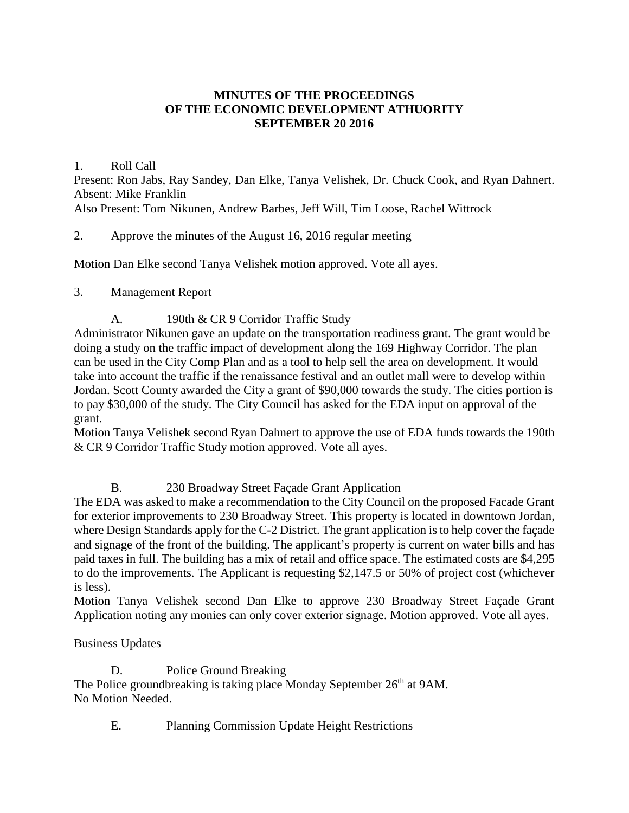# **MINUTES OF THE PROCEEDINGS OF THE ECONOMIC DEVELOPMENT ATHUORITY SEPTEMBER 20 2016**

### 1. Roll Call

Present: Ron Jabs, Ray Sandey, Dan Elke, Tanya Velishek, Dr. Chuck Cook, and Ryan Dahnert. Absent: Mike Franklin

Also Present: Tom Nikunen, Andrew Barbes, Jeff Will, Tim Loose, Rachel Wittrock

# 2. Approve the minutes of the August 16, 2016 regular meeting

Motion Dan Elke second Tanya Velishek motion approved. Vote all ayes.

### 3. Management Report

# A. 190th & CR 9 Corridor Traffic Study

Administrator Nikunen gave an update on the transportation readiness grant. The grant would be doing a study on the traffic impact of development along the 169 Highway Corridor. The plan can be used in the City Comp Plan and as a tool to help sell the area on development. It would take into account the traffic if the renaissance festival and an outlet mall were to develop within Jordan. Scott County awarded the City a grant of \$90,000 towards the study. The cities portion is to pay \$30,000 of the study. The City Council has asked for the EDA input on approval of the grant.

Motion Tanya Velishek second Ryan Dahnert to approve the use of EDA funds towards the 190th & CR 9 Corridor Traffic Study motion approved. Vote all ayes.

# B. 230 Broadway Street Façade Grant Application

The EDA was asked to make a recommendation to the City Council on the proposed Facade Grant for exterior improvements to 230 Broadway Street. This property is located in downtown Jordan, where Design Standards apply for the C-2 District. The grant application is to help cover the façade and signage of the front of the building. The applicant's property is current on water bills and has paid taxes in full. The building has a mix of retail and office space. The estimated costs are \$4,295 to do the improvements. The Applicant is requesting \$2,147.5 or 50% of project cost (whichever is less).

Motion Tanya Velishek second Dan Elke to approve 230 Broadway Street Façade Grant Application noting any monies can only cover exterior signage. Motion approved. Vote all ayes.

# Business Updates

D. Police Ground Breaking The Police groundbreaking is taking place Monday September 26<sup>th</sup> at 9AM. No Motion Needed.

E. Planning Commission Update Height Restrictions